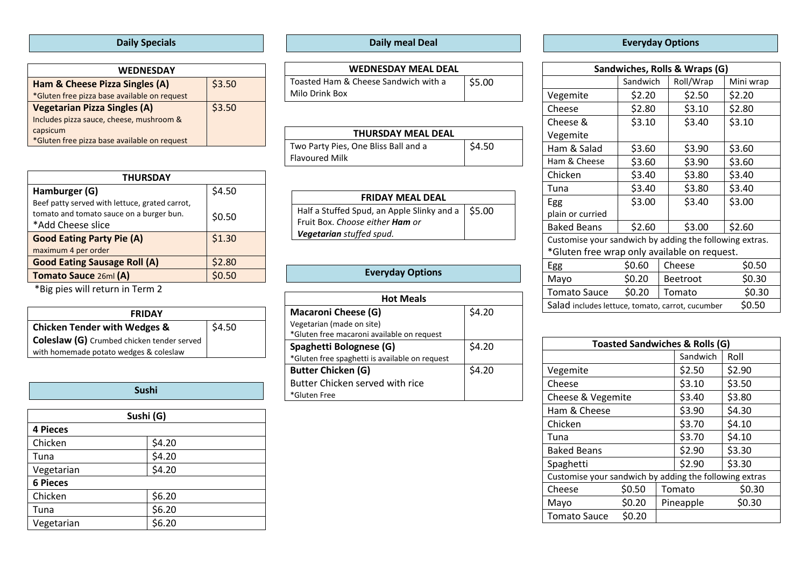### **Daily Specials**

| <b>WEDNESDAY</b>                             |        |
|----------------------------------------------|--------|
| Ham & Cheese Pizza Singles (A)               | \$3.50 |
| *Gluten free pizza base available on request |        |
| <b>Vegetarian Pizza Singles (A)</b>          | \$3.50 |
| Includes pizza sauce, cheese, mushroom &     |        |
| capsicum                                     |        |
| *Gluten free pizza base available on request |        |
|                                              |        |

| <b>THURSDAY</b>                                |        |  |  |  |
|------------------------------------------------|--------|--|--|--|
| Hamburger (G)                                  | \$4.50 |  |  |  |
| Beef patty served with lettuce, grated carrot, |        |  |  |  |
| tomato and tomato sauce on a burger bun.       | \$0.50 |  |  |  |
| *Add Cheese slice                              |        |  |  |  |
| <b>Good Eating Party Pie (A)</b>               | \$1.30 |  |  |  |
| maximum 4 per order                            |        |  |  |  |
| <b>Good Eating Sausage Roll (A)</b>            | \$2.80 |  |  |  |
| Tomato Sauce 26ml (A)                          | \$0.50 |  |  |  |

\*Big pies will return in Term 2

| <b>FRIDAY</b>                              |        |  |  |  |
|--------------------------------------------|--------|--|--|--|
| <b>Chicken Tender with Wedges &amp;</b>    | \$4.50 |  |  |  |
| Coleslaw (G) Crumbed chicken tender served |        |  |  |  |
| with homemade potato wedges & coleslaw     |        |  |  |  |

#### **Sushi**

| Sushi (G)       |        |  |  |
|-----------------|--------|--|--|
| <b>4 Pieces</b> |        |  |  |
| Chicken         | \$4.20 |  |  |
| Tuna            | \$4.20 |  |  |
| Vegetarian      | \$4.20 |  |  |
| <b>6 Pieces</b> |        |  |  |
| Chicken         | \$6.20 |  |  |
| Tuna            | \$6.20 |  |  |
| Vegetarian      | \$6.20 |  |  |

### **Daily meal Deal**

| <b>WEDNESDAY MEAL DEAL</b>           |        |
|--------------------------------------|--------|
| Toasted Ham & Cheese Sandwich with a | \$5.00 |
| Milo Drink Box                       |        |

| <b>THURSDAY MEAL DEAL</b>            |        |  |  |
|--------------------------------------|--------|--|--|
| Two Party Pies, One Bliss Ball and a | \$4.50 |  |  |
| <b>Flavoured Milk</b>                |        |  |  |

| <b>FRIDAY MEAL DEAL</b>                             |  |
|-----------------------------------------------------|--|
| Half a Stuffed Spud, an Apple Slinky and a   \$5.00 |  |
| Fruit Box. Choose either <b>Ham</b> or              |  |
| Vegetarian stuffed spud.                            |  |

#### **Everyday Options**

| <b>Hot Meals</b>                               |        |  |  |  |
|------------------------------------------------|--------|--|--|--|
| <b>Macaroni Cheese (G)</b>                     | \$4.20 |  |  |  |
| Vegetarian (made on site)                      |        |  |  |  |
| *Gluten free macaroni available on request     |        |  |  |  |
| Spaghetti Bolognese (G)                        | \$4.20 |  |  |  |
| *Gluten free spaghetti is available on request |        |  |  |  |
| <b>Butter Chicken (G)</b>                      | \$4.20 |  |  |  |
| Butter Chicken served with rice                |        |  |  |  |
| *Gluten Free                                   |        |  |  |  |

### **Everyday Options**

| Sandwiches, Rolls & Wraps (G)                              |          |                 |           |           |
|------------------------------------------------------------|----------|-----------------|-----------|-----------|
|                                                            | Sandwich |                 | Roll/Wrap | Mini wrap |
| Vegemite                                                   | \$2.20   |                 | \$2.50    | \$2.20    |
| Cheese                                                     | \$2.80   |                 | \$3.10    | \$2.80    |
| Cheese &                                                   | \$3.10   |                 | \$3.40    | \$3.10    |
| Vegemite                                                   |          |                 |           |           |
| Ham & Salad                                                | \$3.60   |                 | \$3.90    | \$3.60    |
| Ham & Cheese                                               | \$3.60   |                 | \$3.90    | \$3.60    |
| Chicken                                                    | \$3.40   |                 | \$3.80    | \$3.40    |
| Tuna                                                       | \$3.40   |                 | \$3.80    | \$3.40    |
| Egg                                                        | \$3.00   |                 | \$3.40    | \$3.00    |
| plain or curried                                           |          |                 |           |           |
| <b>Baked Beans</b>                                         | \$2.60   |                 | \$3.00    | \$2.60    |
| Customise your sandwich by adding the following extras.    |          |                 |           |           |
| *Gluten free wrap only available on request.               |          |                 |           |           |
| Egg                                                        | \$0.60   |                 | Cheese    | \$0.50    |
| Mayo                                                       | \$0.20   | <b>Beetroot</b> |           | \$0.30    |
| <b>Tomato Sauce</b>                                        | \$0.20   | Tomato          |           | \$0.30    |
| \$0.50<br>Salad includes lettuce, tomato, carrot, cucumber |          |                 |           |           |

| <b>Toasted Sandwiches &amp; Rolls (G)</b>              |        |           |        |        |
|--------------------------------------------------------|--------|-----------|--------|--------|
|                                                        |        | Sandwich  | Roll   |        |
| Vegemite                                               |        |           | \$2.50 | \$2.90 |
| Cheese                                                 |        |           | \$3.10 | \$3.50 |
| Cheese & Vegemite                                      |        | \$3.40    | \$3.80 |        |
| Ham & Cheese                                           |        | \$3.90    | \$4.30 |        |
| Chicken                                                |        | \$3.70    | \$4.10 |        |
| Tuna                                                   |        |           | \$3.70 | \$4.10 |
| <b>Baked Beans</b>                                     |        | \$2.90    | \$3.30 |        |
| Spaghetti                                              |        | \$2.90    | \$3.30 |        |
| Customise your sandwich by adding the following extras |        |           |        |        |
| Cheese                                                 | \$0.50 |           | Tomato | \$0.30 |
| Mayo                                                   | \$0.20 | Pineapple |        | \$0.30 |
| <b>Tomato Sauce</b>                                    | \$0.20 |           |        |        |